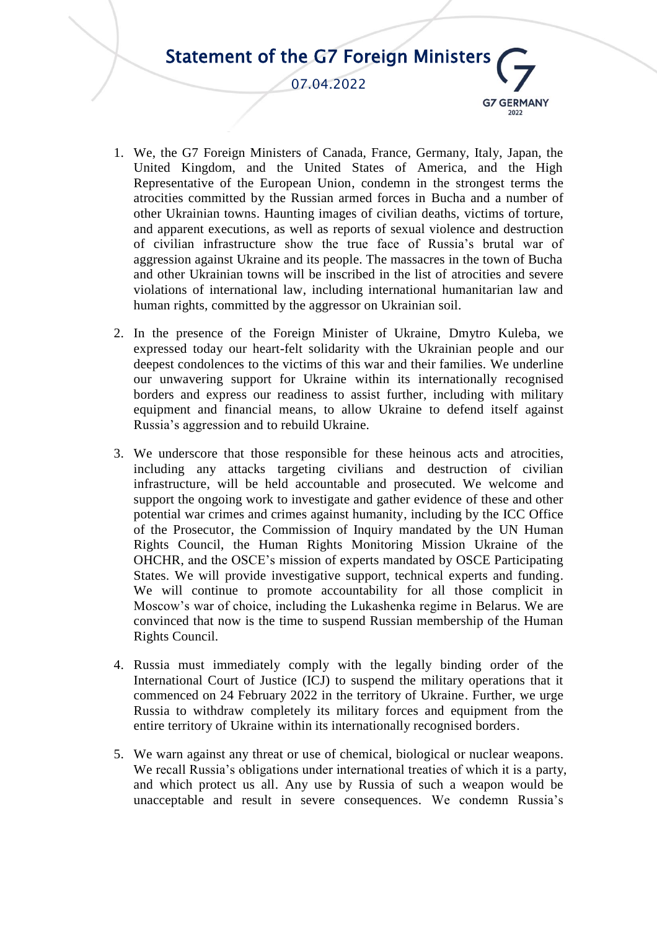

- 1. We, the G7 Foreign Ministers of Canada, France, Germany, Italy, Japan, the United Kingdom, and the United States of America, and the High Representative of the European Union, condemn in the strongest terms the atrocities committed by the Russian armed forces in Bucha and a number of other Ukrainian towns. Haunting images of civilian deaths, victims of torture, and apparent executions, as well as reports of sexual violence and destruction of civilian infrastructure show the true face of Russia's brutal war of aggression against Ukraine and its people. The massacres in the town of Bucha and other Ukrainian towns will be inscribed in the list of atrocities and severe violations of international law, including international humanitarian law and human rights, committed by the aggressor on Ukrainian soil.
- 2. In the presence of the Foreign Minister of Ukraine, Dmytro Kuleba, we expressed today our heart-felt solidarity with the Ukrainian people and our deepest condolences to the victims of this war and their families. We underline our unwavering support for Ukraine within its internationally recognised borders and express our readiness to assist further, including with military equipment and financial means, to allow Ukraine to defend itself against Russia's aggression and to rebuild Ukraine.
- 3. We underscore that those responsible for these heinous acts and atrocities, including any attacks targeting civilians and destruction of civilian infrastructure, will be held accountable and prosecuted. We welcome and support the ongoing work to investigate and gather evidence of these and other potential war crimes and crimes against humanity, including by the ICC Office of the Prosecutor, the Commission of Inquiry mandated by the UN Human Rights Council, the Human Rights Monitoring Mission Ukraine of the OHCHR, and the OSCE's mission of experts mandated by OSCE Participating States. We will provide investigative support, technical experts and funding. We will continue to promote accountability for all those complicit in Moscow's war of choice, including the Lukashenka regime in Belarus. We are convinced that now is the time to suspend Russian membership of the Human Rights Council.
- 4. Russia must immediately comply with the legally binding order of the International Court of Justice (ICJ) to suspend the military operations that it commenced on 24 February 2022 in the territory of Ukraine. Further, we urge Russia to withdraw completely its military forces and equipment from the entire territory of Ukraine within its internationally recognised borders.
- 5. We warn against any threat or use of chemical, biological or nuclear weapons. We recall Russia's obligations under international treaties of which it is a party, and which protect us all. Any use by Russia of such a weapon would be unacceptable and result in severe consequences. We condemn Russia's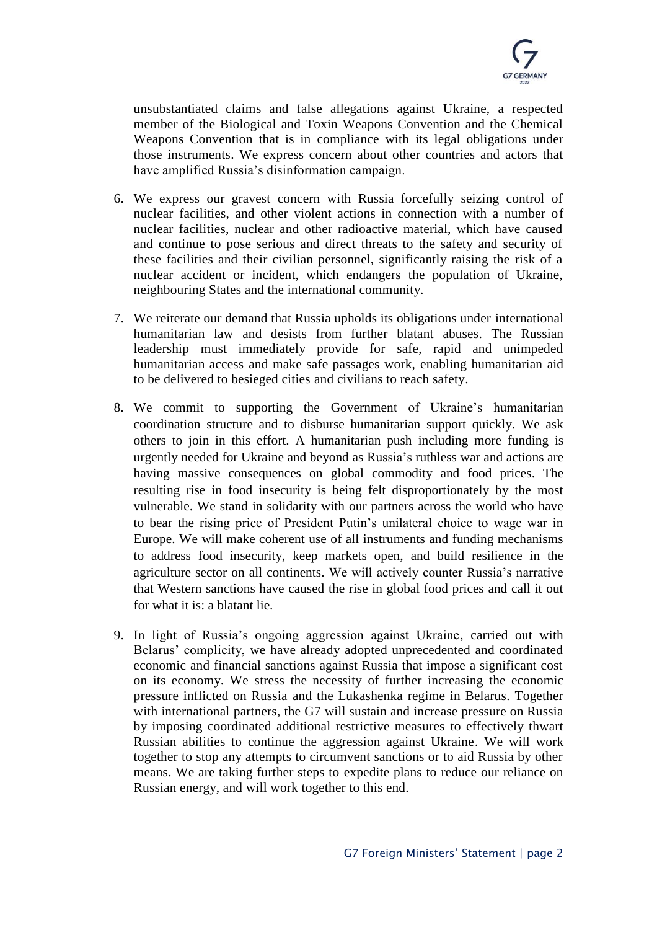

unsubstantiated claims and false allegations against Ukraine, a respected member of the Biological and Toxin Weapons Convention and the Chemical Weapons Convention that is in compliance with its legal obligations under those instruments. We express concern about other countries and actors that have amplified Russia's disinformation campaign.

- 6. We express our gravest concern with Russia forcefully seizing control of nuclear facilities, and other violent actions in connection with a number of nuclear facilities, nuclear and other radioactive material, which have caused and continue to pose serious and direct threats to the safety and security of these facilities and their civilian personnel, significantly raising the risk of a nuclear accident or incident, which endangers the population of Ukraine, neighbouring States and the international community.
- 7. We reiterate our demand that Russia upholds its obligations under international humanitarian law and desists from further blatant abuses. The Russian leadership must immediately provide for safe, rapid and unimpeded humanitarian access and make safe passages work, enabling humanitarian aid to be delivered to besieged cities and civilians to reach safety.
- 8. We commit to supporting the Government of Ukraine's humanitarian coordination structure and to disburse humanitarian support quickly. We ask others to join in this effort. A humanitarian push including more funding is urgently needed for Ukraine and beyond as Russia's ruthless war and actions are having massive consequences on global commodity and food prices. The resulting rise in food insecurity is being felt disproportionately by the most vulnerable. We stand in solidarity with our partners across the world who have to bear the rising price of President Putin's unilateral choice to wage war in Europe. We will make coherent use of all instruments and funding mechanisms to address food insecurity, keep markets open, and build resilience in the agriculture sector on all continents. We will actively counter Russia's narrative that Western sanctions have caused the rise in global food prices and call it out for what it is: a blatant lie.
- 9. In light of Russia's ongoing aggression against Ukraine, carried out with Belarus' complicity, we have already adopted unprecedented and coordinated economic and financial sanctions against Russia that impose a significant cost on its economy. We stress the necessity of further increasing the economic pressure inflicted on Russia and the Lukashenka regime in Belarus. Together with international partners, the G7 will sustain and increase pressure on Russia by imposing coordinated additional restrictive measures to effectively thwart Russian abilities to continue the aggression against Ukraine. We will work together to stop any attempts to circumvent sanctions or to aid Russia by other means. We are taking further steps to expedite plans to reduce our reliance on Russian energy, and will work together to this end.